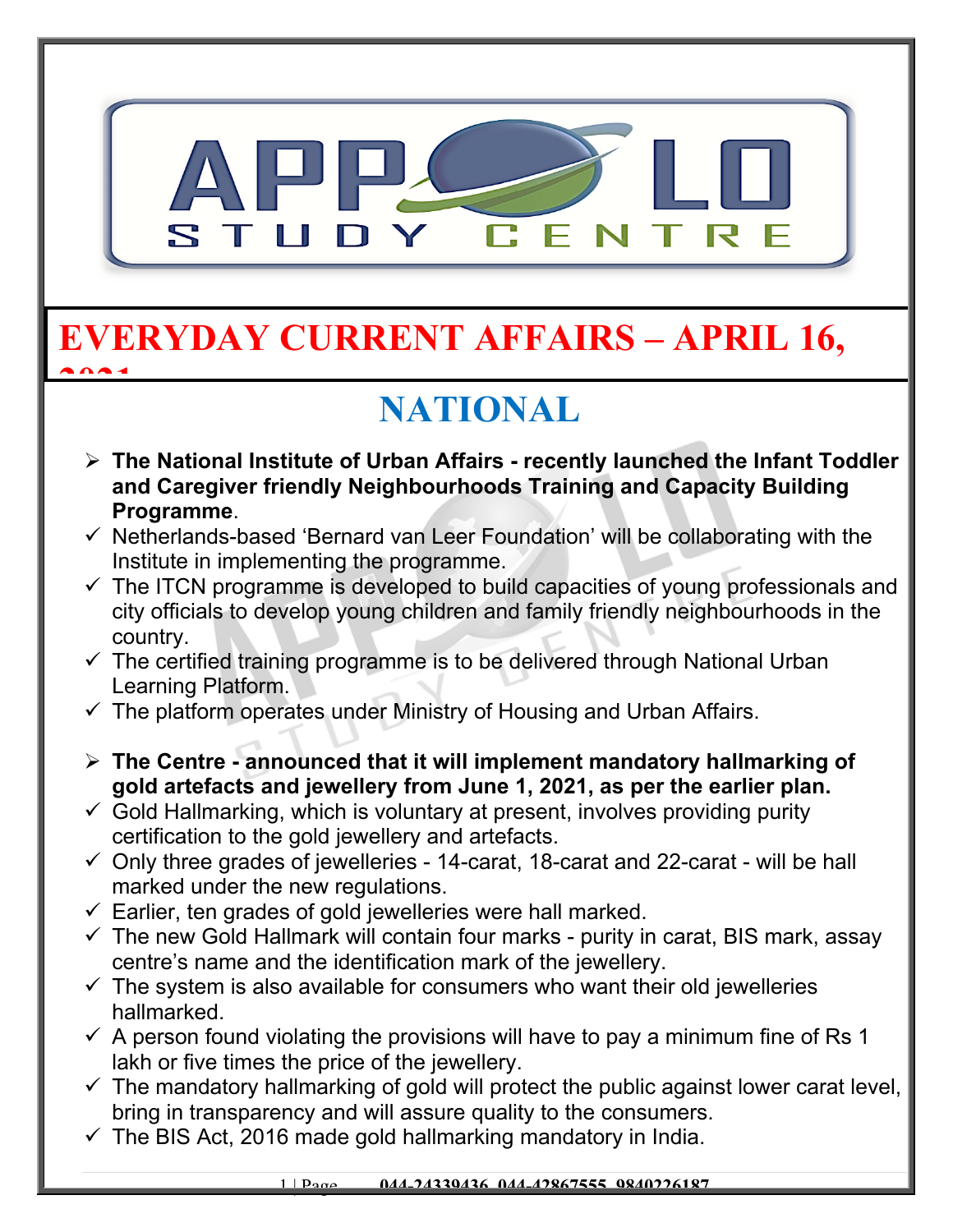

### **EVERYDAY CURRENT AFFAIRS – APRIL 16, 2021**

# **NATIONAL**

- **The National Institute of Urban Affairs recently launched the Infant Toddler and Caregiver friendly Neighbourhoods Training and Capacity Building Programme**.
- $\checkmark$  Netherlands-based 'Bernard van Leer Foundation' will be collaborating with the Institute in implementing the programme.
- $\checkmark$  The ITCN programme is developed to build capacities of young professionals and city officials to develop young children and family friendly neighbourhoods in the country.
- $\checkmark$  The certified training programme is to be delivered through National Urban Learning Platform.
- $\checkmark$  The platform operates under Ministry of Housing and Urban Affairs.
- **The Centre announced that it will implement mandatory hallmarking of gold artefacts and jewellery from June 1, 2021, as per the earlier plan.**
- $\checkmark$  Gold Hallmarking, which is voluntary at present, involves providing purity certification to the gold jewellery and artefacts.
- $\checkmark$  Only three grades of jewelleries 14-carat, 18-carat and 22-carat will be hall marked under the new regulations.
- $\checkmark$  Earlier, ten grades of gold jewelleries were hall marked.
- $\checkmark$  The new Gold Hallmark will contain four marks purity in carat, BIS mark, assay centre's name and the identification mark of the jewellery.
- $\checkmark$  The system is also available for consumers who want their old jewelleries hallmarked.
- $\checkmark$  A person found violating the provisions will have to pay a minimum fine of Rs 1 lakh or five times the price of the jewellery.
- $\checkmark$  The mandatory hallmarking of gold will protect the public against lower carat level, bring in transparency and will assure quality to the consumers.
- $\checkmark$  The BIS Act, 2016 made gold hallmarking mandatory in India.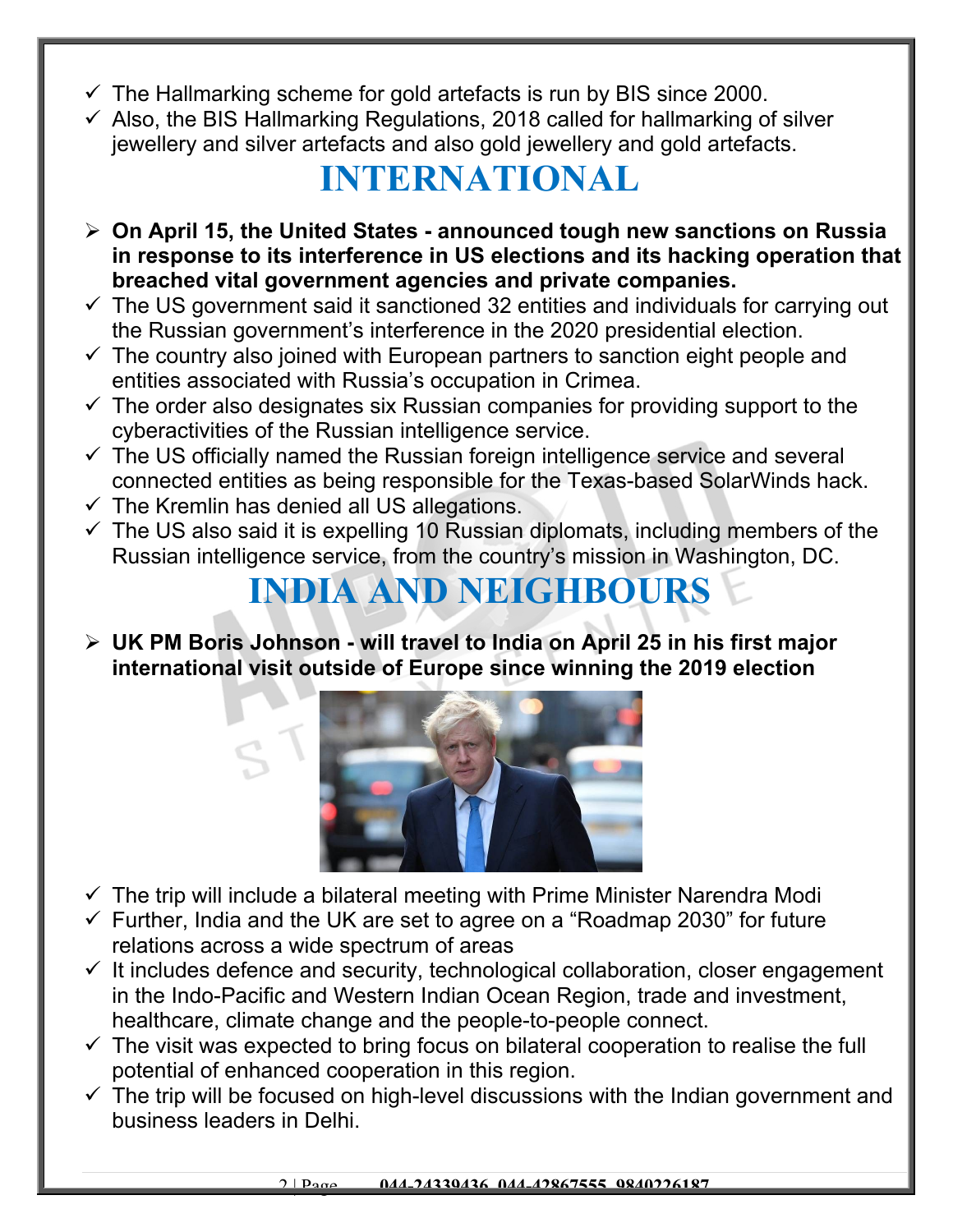- $\checkmark$  The Hallmarking scheme for gold artefacts is run by BIS since 2000.
- $\checkmark$  Also, the BIS Hallmarking Regulations, 2018 called for hallmarking of silver jewellery and silver artefacts and also gold jewellery and gold artefacts.

#### **INTERNATIONAL**

- **On April 15, the United States announced tough new sanctions on Russia in response to its interference in US elections and its hacking operation that breached vital government agencies and private companies.**
- $\checkmark$  The US government said it sanctioned 32 entities and individuals for carrying out the Russian government's interference in the 2020 presidential election.
- $\checkmark$  The country also joined with European partners to sanction eight people and entities associated with Russia's occupation in Crimea.
- $\checkmark$  The order also designates six Russian companies for providing support to the cyberactivities of the Russian intelligence service.
- $\checkmark$  The US officially named the Russian foreign intelligence service and several connected entities as being responsible for the Texas-based SolarWinds hack.
- $\checkmark$  The Kremlin has denied all US allegations.
- $\checkmark$  The US also said it is expelling 10 Russian diplomats, including members of the Russian intelligence service, from the country's mission in Washington, DC.

### **INDIA AND NEIGHBOURS**

 **UK PM Boris Johnson - will travel to India on April 25 in his first major international visit outside of Europe since winning the 2019 election**



- $\checkmark$  The trip will include a bilateral meeting with Prime Minister Narendra Modi
- $\checkmark$  Further, India and the UK are set to agree on a "Roadmap 2030" for future relations across a wide spectrum of areas
- $\checkmark$  It includes defence and security, technological collaboration, closer engagement in the Indo-Pacific and Western Indian Ocean Region, trade and investment, healthcare, climate change and the people-to-people connect.
- $\checkmark$  The visit was expected to bring focus on bilateral cooperation to realise the full potential of enhanced cooperation in this region.
- $\checkmark$  The trip will be focused on high-level discussions with the Indian government and business leaders in Delhi.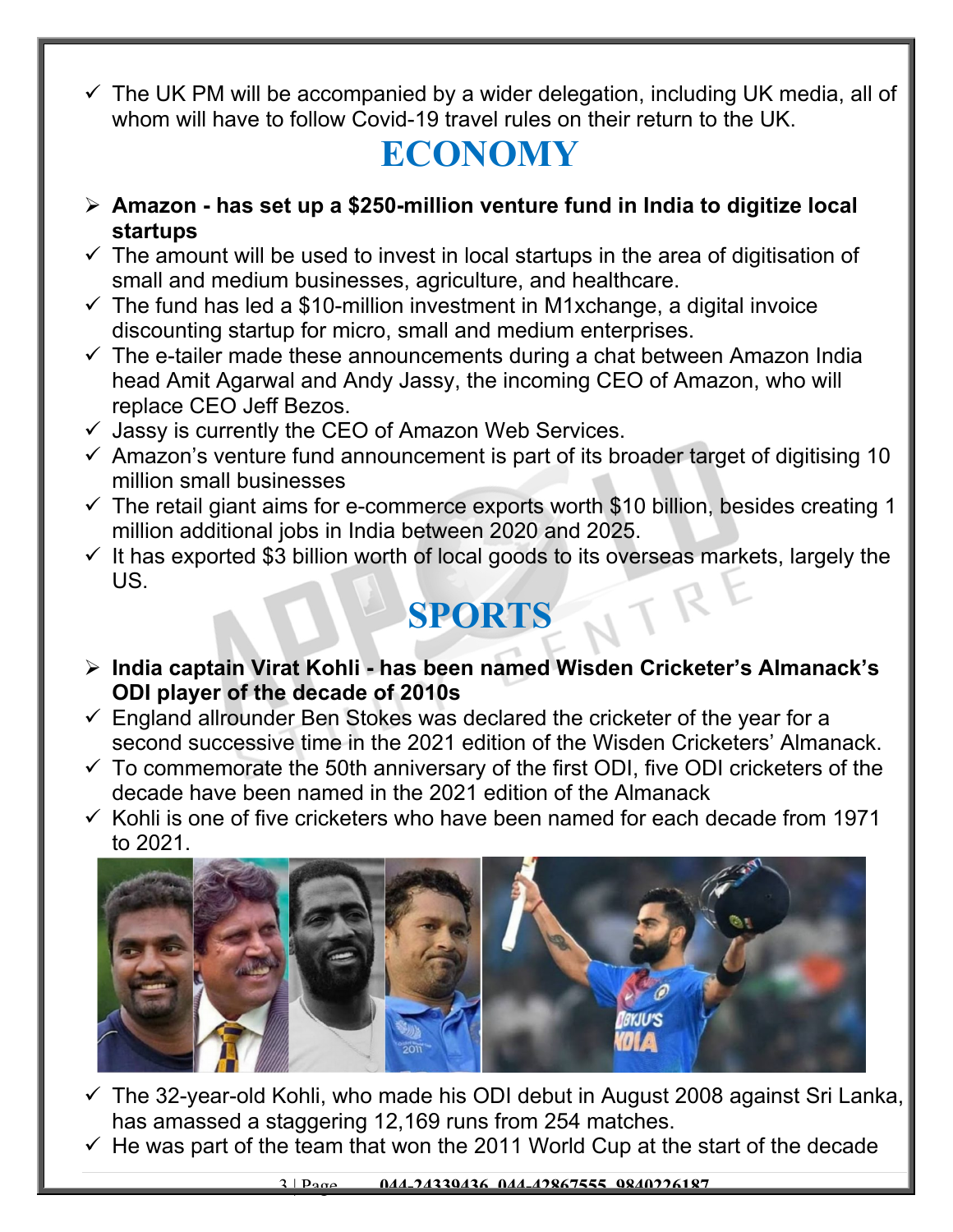$\checkmark$  The UK PM will be accompanied by a wider delegation, including UK media, all of whom will have to follow Covid-19 travel rules on their return to the UK.

### **ECONOMY**

- **Amazon has set up a \$250-million venture fund in India to digitize local startups**
- $\checkmark$  The amount will be used to invest in local startups in the area of digitisation of small and medium businesses, agriculture, and healthcare.
- $\checkmark$  The fund has led a \$10-million investment in M1xchange, a digital invoice discounting startup for micro, small and medium enterprises.
- $\checkmark$  The e-tailer made these announcements during a chat between Amazon India head Amit Agarwal and Andy Jassy, the incoming CEO of Amazon, who will replace CEO Jeff Bezos.
- $\checkmark$  Jassy is currently the CEO of Amazon Web Services.
- $\checkmark$  Amazon's venture fund announcement is part of its broader target of digitising 10 million small businesses
- $\checkmark$  The retail giant aims for e-commerce exports worth \$10 billion, besides creating 1 million additional jobs in India between 2020 and 2025.
- $\checkmark$  It has exported \$3 billion worth of local goods to its overseas markets, largely the US.

## **SPORTS**

- **India captain Virat Kohli has been named Wisden Cricketer's Almanack's ODI player of the decade of 2010s**
- $\checkmark$  England allrounder Ben Stokes was declared the cricketer of the year for a second successive time in the 2021 edition of the Wisden Cricketers' Almanack.
- $\checkmark$  To commemorate the 50th anniversary of the first ODI, five ODI cricketers of the decade have been named in the 2021 edition of the Almanack
- $\checkmark$  Kohli is one of five cricketers who have been named for each decade from 1971 to 2021.



- $\checkmark$  The 32-year-old Kohli, who made his ODI debut in August 2008 against Sri Lanka, has amassed a staggering 12,169 runs from 254 matches.
- $\checkmark$  He was part of the team that won the 2011 World Cup at the start of the decade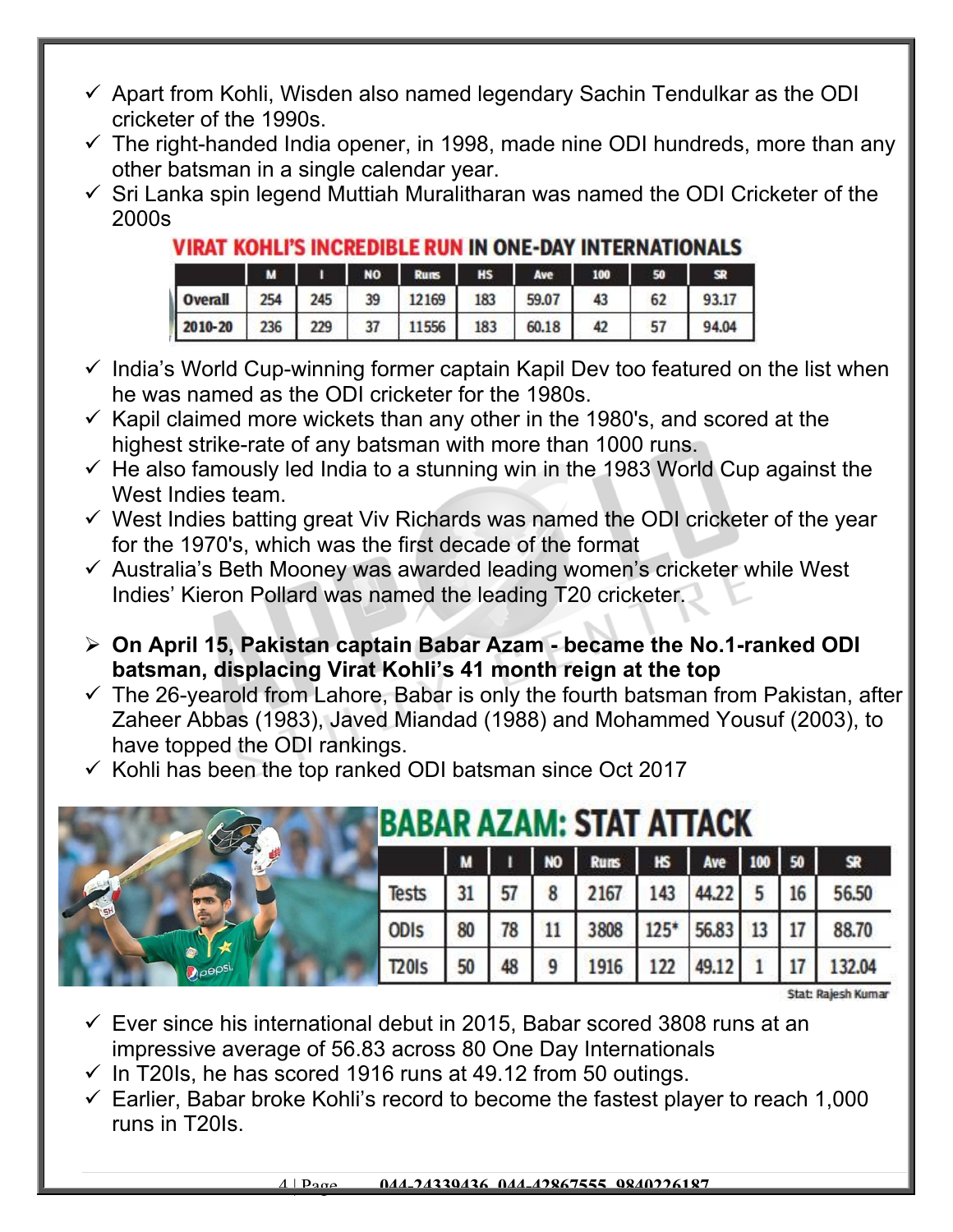- $\checkmark$  Apart from Kohli, Wisden also named legendary Sachin Tendulkar as the ODI cricketer of the 1990s.
- $\checkmark$  The right-handed India opener, in 1998, made nine ODI hundreds, more than any other batsman in a single calendar year.
- $\checkmark$  Sri Lanka spin legend Muttiah Muralitharan was named the ODI Cricketer of the 2000s

#### **VIRAT KOHLI'S INCREDIBLE RUN IN ONE-DAY INTERNATIONALS**

|         | м   |     | <b>NO</b> | <b>Runs</b> | <b>HS</b> | Ave   | 100 | 50 |       |
|---------|-----|-----|-----------|-------------|-----------|-------|-----|----|-------|
| Overall | 254 | 245 | 39        | 12169       | 183       | 59.07 | 43  | 62 | 93.17 |
| 2010-20 | 236 | 229 | 37        | 11556       | 183       | 60.18 | 42  | 57 | 94.04 |

- $\checkmark$  India's World Cup-winning former captain Kapil Dev too featured on the list when he was named as the ODI cricketer for the 1980s.
- $\checkmark$  Kapil claimed more wickets than any other in the 1980's, and scored at the highest strike-rate of any batsman with more than 1000 runs.
- $\checkmark$  He also famously led India to a stunning win in the 1983 World Cup against the West Indies team.
- $\checkmark$  West Indies batting great Viv Richards was named the ODI cricketer of the year for the 1970's, which was the first decade of the format
- $\checkmark$  Australia's Beth Mooney was awarded leading women's cricketer while West Indies' Kieron Pollard was named the leading T20 cricketer.
- **On April 15, Pakistan captain Babar Azam became the No.1-ranked ODI batsman, displacing Virat Kohli's 41 month reign at the top**
- $\checkmark$  The 26-yearold from Lahore, Babar is only the fourth batsman from Pakistan, after Zaheer Abbas (1983), Javed Miandad (1988) and Mohammed Yousuf (2003), to have topped the ODI rankings.
- $\checkmark$  Kohli has been the top ranked ODI batsman since Oct 2017

|             | <b>BABAR AZAM: STAT ATTACK</b> |    |    |           |      |        |            |  |    |           |
|-------------|--------------------------------|----|----|-----------|------|--------|------------|--|----|-----------|
|             |                                | M  |    | <b>NO</b> | Runs | $H\!S$ | Ave 100 50 |  |    | <b>SR</b> |
|             | Tests                          | 31 |    | 8         | 2167 | 143    | 44.22      |  | 16 | 56.50     |
|             | <b>ODIS</b>                    | 80 | 78 |           | 3808 | $125*$ | 56.83 13   |  | 17 | 88.70     |
| $\rho$ epsi | <b>T20Is</b>                   | 50 | 48 |           | 1916 | 122    | 49.12      |  |    | 132.04    |

Stat: Rajesh Kumar

- $\checkmark$  Ever since his international debut in 2015, Babar scored 3808 runs at an impressive average of 56.83 across 80 One Day Internationals
- $\checkmark$  In T20Is, he has scored 1916 runs at 49.12 from 50 outings.
- $\checkmark$  Earlier, Babar broke Kohli's record to become the fastest player to reach 1,000 runs in T20Is.